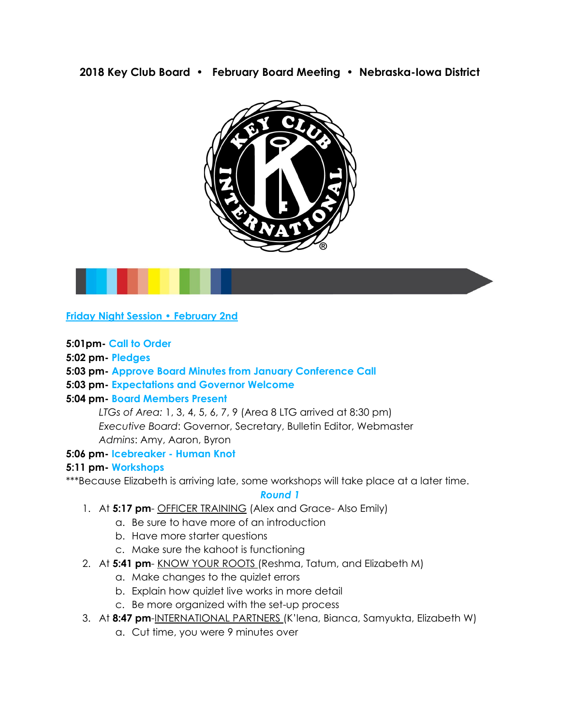**2018 Key Club Board • February Board Meeting • Nebraska-Iowa District**





**5:01pm- Call to Order**

**5:02 pm- Pledges**

## **5:03 pm- Approve Board Minutes from January Conference Call**

#### **5:03 pm- Expectations and Governor Welcome**

#### **5:04 pm- Board Members Present**

*LTGs of Area:* 1, 3, 4, 5, 6, 7, 9 (Area 8 LTG arrived at 8:30 pm) *Executive Board*: Governor, Secretary, Bulletin Editor, Webmaster *Admins*: Amy, Aaron, Byron

#### **5:06 pm- Icebreaker - Human Knot**

## **5:11 pm- Workshops**

\*\*\*Because Elizabeth is arriving late, some workshops will take place at a later time.

#### *Round 1*

- 1. At **5:17 pm** OFFICER TRAINING (Alex and Grace- Also Emily)
	- a. Be sure to have more of an introduction
	- b. Have more starter questions
	- c. Make sure the kahoot is functioning
- 2. At **5:41 pm** KNOW YOUR ROOTS (Reshma, Tatum, and Elizabeth M)
	- a. Make changes to the quizlet errors
	- b. Explain how quizlet live works in more detail
	- c. Be more organized with the set-up process
- 3. At **8:47 pm**-INTERNATIONAL PARTNERS (K'lena, Bianca, Samyukta, Elizabeth W)
	- a. Cut time, you were 9 minutes over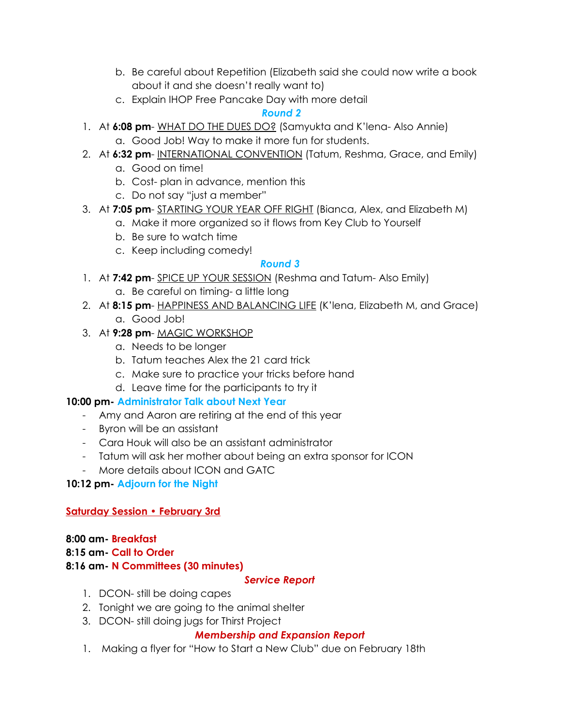- b. Be careful about Repetition (Elizabeth said she could now write a book about it and she doesn't really want to)
- c. Explain IHOP Free Pancake Day with more detail

# *Round 2*

- 1. At **6:08 pm** WHAT DO THE DUES DO? (Samyukta and K'lena- Also Annie)
	- a. Good Job! Way to make it more fun for students.
- 2. At **6:32 pm** INTERNATIONAL CONVENTION (Tatum, Reshma, Grace, and Emily)
	- a. Good on time!
	- b. Cost- plan in advance, mention this
	- c. Do not say "just a member"
- 3. At **7:05 pm** STARTING YOUR YEAR OFF RIGHT (Bianca, Alex, and Elizabeth M)
	- a. Make it more organized so it flows from Key Club to Yourself
	- b. Be sure to watch time
	- c. Keep including comedy!

# *Round 3*

- 1. At **7:42 pm** SPICE UP YOUR SESSION (Reshma and Tatum- Also Emily)
	- a. Be careful on timing- a little long
- 2. At **8:15 pm** HAPPINESS AND BALANCING LIFE (K'lena, Elizabeth M, and Grace) a. Good Job!
- 3. At **9:28 pm** MAGIC WORKSHOP
	- a. Needs to be longer
	- b. Tatum teaches Alex the 21 card trick
	- c. Make sure to practice your tricks before hand
	- d. Leave time for the participants to try it

# **10:00 pm- Administrator Talk about Next Year**

- Amy and Aaron are retiring at the end of this year
- Byron will be an assistant
- Cara Houk will also be an assistant administrator
- Tatum will ask her mother about being an extra sponsor for ICON
- More details about ICON and GATC

# **10:12 pm- Adjourn for the Night**

# **Saturday Session • February 3rd**

## **8:00 am- Breakfast 8:15 am- Call to Order 8:16 am- N Committees (30 minutes)**

# *Service Report*

- 1. DCON- still be doing capes
- 2. Tonight we are going to the animal shelter
- 3. DCON- still doing jugs for Thirst Project

# *Membership and Expansion Report*

1. Making a flyer for "How to Start a New Club" due on February 18th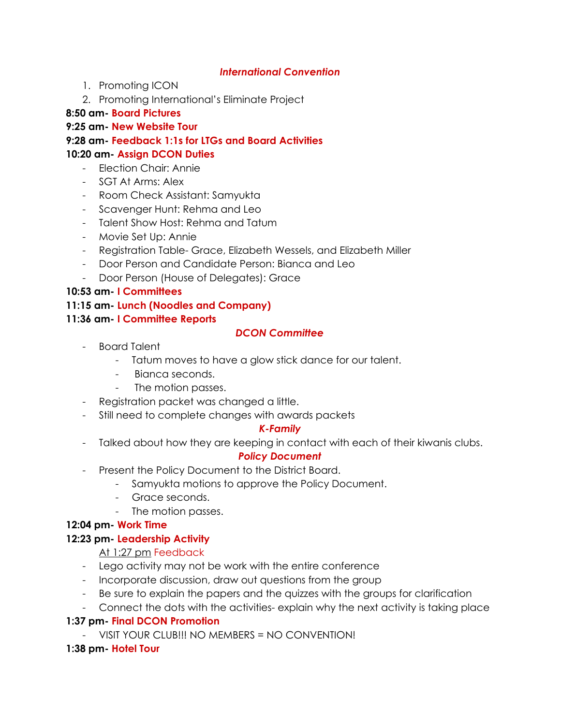## *International Convention*

- 1. Promoting ICON
- 2. Promoting International's Eliminate Project

## **8:50 am- Board Pictures**

## **9:25 am- New Website Tour**

**9:28 am- Feedback 1:1s for LTGs and Board Activities 10:20 am- Assign DCON Duties**

- Election Chair: Annie
- SGT At Arms: Alex
- Room Check Assistant: Samyukta
- Scavenger Hunt: Rehma and Leo
- Talent Show Host: Rehma and Tatum
- Movie Set Up: Annie
- Registration Table- Grace, Elizabeth Wessels, and Elizabeth Miller
- Door Person and Candidate Person: Bianca and Leo
- Door Person (House of Delegates): Grace

## **10:53 am- I Committees**

#### **11:15 am- Lunch (Noodles and Company)**

## **11:36 am- I Committee Reports**

## *DCON Committee*

- Board Talent
	- Tatum moves to have a glow stick dance for our talent.
	- Bianca seconds.
	- The motion passes.
- Registration packet was changed a little.
- Still need to complete changes with awards packets

## *K-Family*

- Talked about how they are keeping in contact with each of their kiwanis clubs.

## *Policy Document*

- Present the Policy Document to the District Board.
	- Samyukta motions to approve the Policy Document.
	- Grace seconds.
	- The motion passes.

## **12:04 pm- Work Time**

## **12:23 pm- Leadership Activity**

## At 1:27 pm Feedback

- Lego activity may not be work with the entire conference
- Incorporate discussion, draw out questions from the group
- Be sure to explain the papers and the quizzes with the groups for clarification
- Connect the dots with the activities- explain why the next activity is taking place

# **1:37 pm- Final DCON Promotion**

- VISIT YOUR CLUB!!! NO MEMBERS = NO CONVENTION!

# **1:38 pm- Hotel Tour**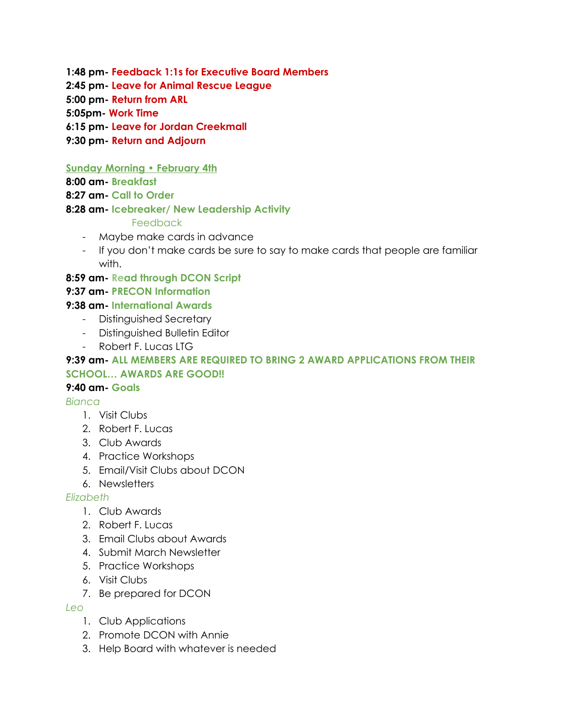**1:48 pm- Feedback 1:1s for Executive Board Members**

**2:45 pm- Leave for Animal Rescue League**

**5:00 pm- Return from ARL**

**5:05pm- Work Time**

**6:15 pm- Leave for Jordan Creekmall**

**9:30 pm- Return and Adjourn**

**Sunday Morning • February 4th**

**8:00 am- Breakfast**

**8:27 am- Call to Order**

#### **8:28 am- Icebreaker/ New Leadership Activity**

#### Feedback

- Maybe make cards in advance
- If you don't make cards be sure to say to make cards that people are familiar with.

**8:59 am- Read through DCON Script**

## **9:37 am- PRECON Information**

**9:38 am- International Awards**

- Distinguished Secretary
- Distinguished Bulletin Editor
- Robert F. Lucas LTG

#### **9:39 am- ALL MEMBERS ARE REQUIRED TO BRING 2 AWARD APPLICATIONS FROM THEIR SCHOOL… AWARDS ARE GOOD!!**

## **9:40 am- Goals**

*Bianca*

- 1. Visit Clubs
- 2. Robert F. Lucas
- 3. Club Awards
- 4. Practice Workshops
- 5. Email/Visit Clubs about DCON
- 6. Newsletters

## *Elizabeth*

- 1. Club Awards
- 2. Robert F. Lucas
- 3. Email Clubs about Awards
- 4. Submit March Newsletter
- 5. Practice Workshops
- 6. Visit Clubs
- 7. Be prepared for DCON

## *Leo*

- 1. Club Applications
- 2. Promote DCON with Annie
- 3. Help Board with whatever is needed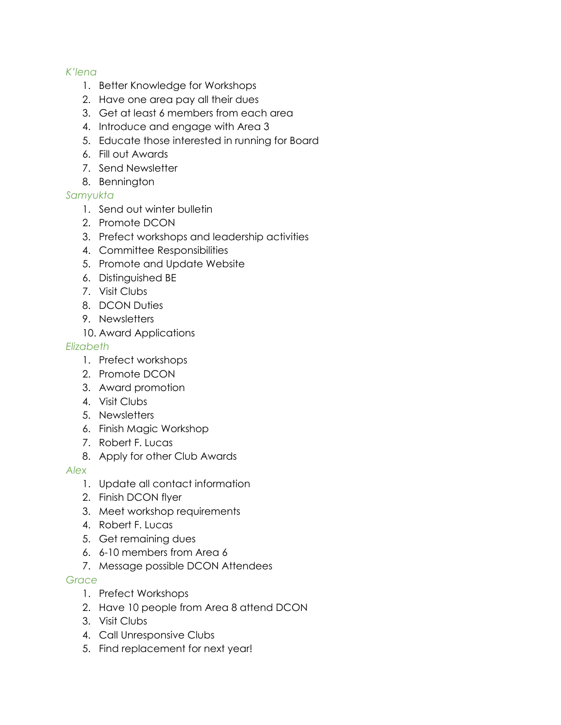## *K'lena*

- 1. Better Knowledge for Workshops
- 2. Have one area pay all their dues
- 3. Get at least 6 members from each area
- 4. Introduce and engage with Area 3
- 5. Educate those interested in running for Board
- 6. Fill out Awards
- 7. Send Newsletter
- 8. Bennington

## *Samyukta*

- 1. Send out winter bulletin
- 2. Promote DCON
- 3. Prefect workshops and leadership activities
- 4. Committee Responsibilities
- 5. Promote and Update Website
- 6. Distinguished BE
- 7. Visit Clubs
- 8. DCON Duties
- 9. Newsletters
- 10. Award Applications

#### *Elizabeth*

- 1. Prefect workshops
- 2. Promote DCON
- 3. Award promotion
- 4. Visit Clubs
- 5. Newsletters
- 6. Finish Magic Workshop
- 7. Robert F. Lucas
- 8. Apply for other Club Awards

#### *Alex*

- 1. Update all contact information
- 2. Finish DCON flyer
- 3. Meet workshop requirements
- 4. Robert F. Lucas
- 5. Get remaining dues
- 6. 6-10 members from Area 6
- 7. Message possible DCON Attendees

## *Grace*

- 1. Prefect Workshops
- 2. Have 10 people from Area 8 attend DCON
- 3. Visit Clubs
- 4. Call Unresponsive Clubs
- 5. Find replacement for next year!